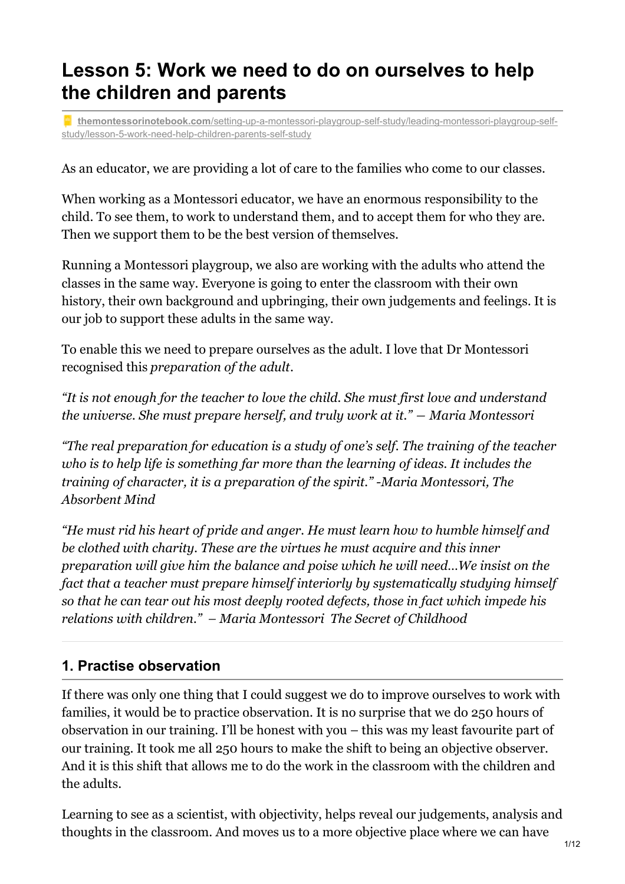# **Lesson 5: Work we need to do on ourselves to help the children and parents**

**themontessorinotebook.com**[/setting-up-a-montessori-playgroup-self-study/leading-montessori-playgroup-self](https://www.themontessorinotebook.com/setting-up-a-montessori-playgroup-self-study/leading-montessori-playgroup-self-study/lesson-5-work-need-help-children-parents-self-study/)study/lesson-5-work-need-help-children-parents-self-study

As an educator, we are providing a lot of care to the families who come to our classes.

When working as a Montessori educator, we have an enormous responsibility to the child. To see them, to work to understand them, and to accept them for who they are. Then we support them to be the best version of themselves.

Running a Montessori playgroup, we also are working with the adults who attend the classes in the same way. Everyone is going to enter the classroom with their own history, their own background and upbringing, their own judgements and feelings. It is our job to support these adults in the same way.

To enable this we need to prepare ourselves as the adult. I love that Dr Montessori recognised this *preparation of the adult*.

*"It is not enough for the teacher to love the child. She must first love and understand the universe. She must prepare herself, and truly work at it." ― Maria Montessori*

*"The real preparation for education is a study of one's self. The training of the teacher who is to help life is something far more than the learning of ideas. It includes the training of character, it is a preparation of the spirit." -Maria Montessori, The Absorbent Mind*

*"He must rid his heart of pride and anger. He must learn how to humble himself and be clothed with charity. These are the virtues he must acquire and this inner preparation will give him the balance and poise which he will need…We insist on the fact that a teacher must prepare himself interiorly by systematically studying himself so that he can tear out his most deeply rooted defects, those in fact which impede his relations with children." – Maria Montessori The Secret of Childhood*

### **1. Practise observation**

If there was only one thing that I could suggest we do to improve ourselves to work with families, it would be to practice observation. It is no surprise that we do 250 hours of observation in our training. I'll be honest with you – this was my least favourite part of our training. It took me all 250 hours to make the shift to being an objective observer. And it is this shift that allows me to do the work in the classroom with the children and the adults.

Learning to see as a scientist, with objectivity, helps reveal our judgements, analysis and thoughts in the classroom. And moves us to a more objective place where we can have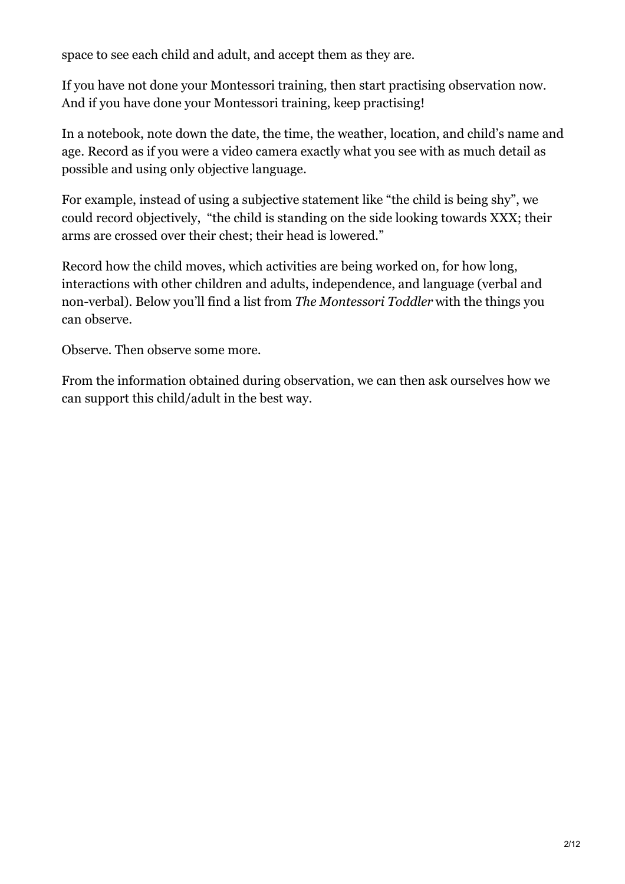space to see each child and adult, and accept them as they are.

If you have not done your Montessori training, then start practising observation now. And if you have done your Montessori training, keep practising!

In a notebook, note down the date, the time, the weather, location, and child's name and age. Record as if you were a video camera exactly what you see with as much detail as possible and using only objective language.

For example, instead of using a subjective statement like "the child is being shy", we could record objectively, "the child is standing on the side looking towards XXX; their arms are crossed over their chest; their head is lowered."

Record how the child moves, which activities are being worked on, for how long, interactions with other children and adults, independence, and language (verbal and non-verbal). Below you'll find a list from *The Montessori Toddler* with the things you can observe.

Observe. Then observe some more.

From the information obtained during observation, we can then ask ourselves how we can support this child/adult in the best way.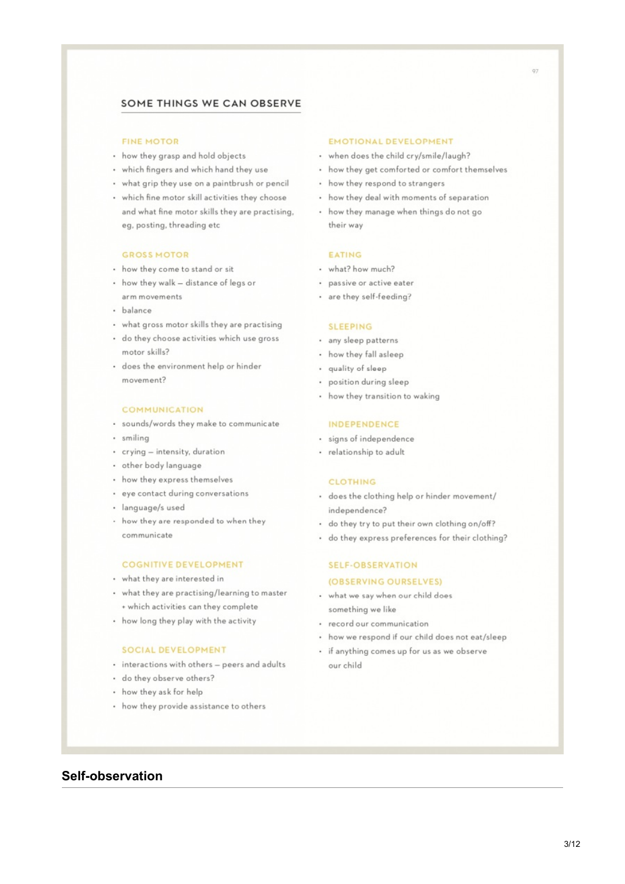#### SOME THINGS WE CAN OBSERVE

#### **FINE MOTOR**

- how they grasp and hold objects
- which fingers and which hand they use
- what grip they use on a paintbrush or pencil
- · which fine motor skill activities they choose and what fine motor skills they are practising, eg, posting, threading etc

#### **GROSS MOTOR**

- how they come to stand or sit
- how they walk distance of legs or arm movements
- · balance
- . what gross motor skills they are practising
- · do they choose activities which use gross motor skills?
- · does the environment help or hinder movement?

#### **COMMUNICATION**

- · sounds/words they make to communicate
- · smiling
- · crying intensity, duration
- other body language
- how they express themselves
- · eye contact during conversations
- · language/s used
- · how they are responded to when they communicate

#### **COGNITIVE DEVELOPMENT**

- what they are interested in
- what they are practising/learning to master + which activities can they complete
- how long they play with the activity

#### SOCIAL DEVELOPMENT

- · interactions with others peers and adults
- · do they observe others?
- how they ask for help
- how they provide assistance to others

#### **EMOTIONAL DEVELOPMENT**

- when does the child cry/smile/laugh?
- how they get comforted or comfort themselves
- how they respond to strangers
- how they deal with moments of separation
- how they manage when things do not go their way

#### EATING

- what? how much?
- · passive or active eater
- · are they self-feeding?

#### **SLEEPING**

- · any sleep patterns
- · how they fall asleep
- · quality of sloop
- · position during sleep
- how they transition to waking

#### **INDEPENDENCE**

- · signs of independence
- · relationship to adult

#### CLOTHING

- · does the clothing help or hinder movement/ independence?
- do they try to put their own clothing on/off?
- · do they express preferences for their clothing?

#### **SELF-OBSERVATION** (OBSERVING OURSELVES)

- . what we say when our child does something we like
- · record our communication
- how we respond if our child does not eat/sleep
- · if anything comes up for us as we observe our child

#### **Self-observation**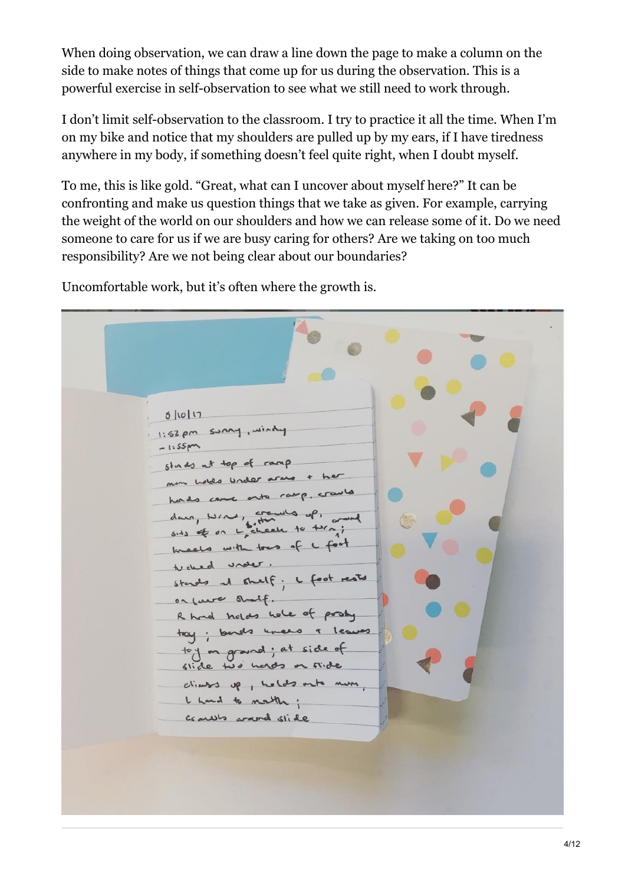When doing observation, we can draw a line down the page to make a column on the side to make notes of things that come up for us during the observation. This is a powerful exercise in self-observation to see what we still need to work through.

I don't limit self-observation to the classroom. I try to practice it all the time. When I'm on my bike and notice that my shoulders are pulled up by my ears, if I have tiredness anywhere in my body, if something doesn't feel quite right, when I doubt myself.

To me, this is like gold. "Great, what can I uncover about myself here?" It can be confronting and make us question things that we take as given. For example, carrying the weight of the world on our shoulders and how we can release some of it. Do we need someone to care for us if we are busy caring for others? Are we taking on too much responsibility? Are we not being clear about our boundaries?

Uncomfortable work, but it's often where the growth is.

 $5|10|17$ 1:52 pm sunny, windy  $-1.55 \text{pm}$ stads at top of ramp min holds under arms + her here's came onto ramp, crawles dans, NIN, crawls of, side of on L check to traj kneets with tows of a foot tucked under. stands at shelf; I foot rests on laws andf. R had holds hole of posty tay; buds unees i leaves toy on ground; at side of stide two hords or stide climate up, holds onto more, I hand to mathe; comes wand slide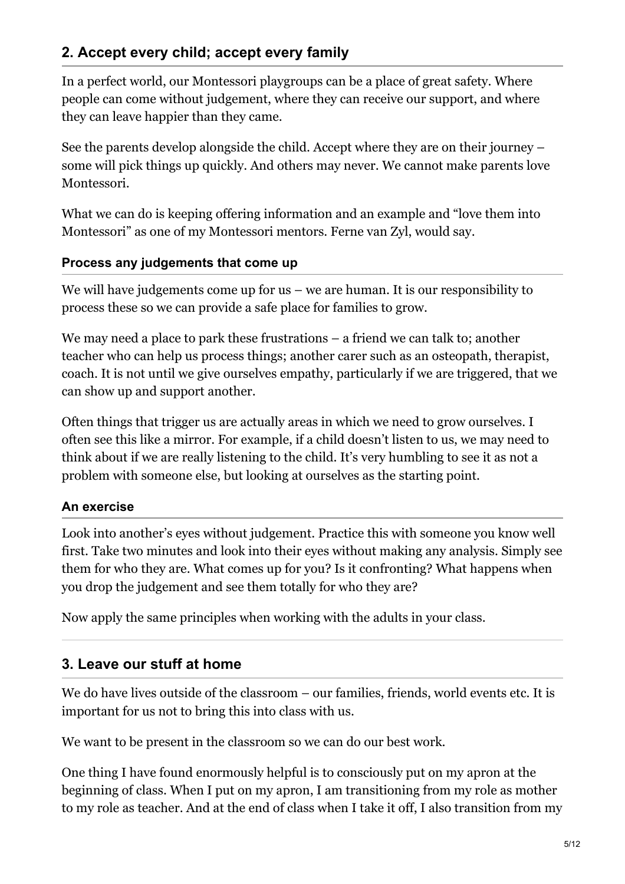## **2. Accept every child; accept every family**

In a perfect world, our Montessori playgroups can be a place of great safety. Where people can come without judgement, where they can receive our support, and where they can leave happier than they came.

See the parents develop alongside the child. Accept where they are on their journey – some will pick things up quickly. And others may never. We cannot make parents love Montessori.

What we can do is keeping offering information and an example and "love them into Montessori" as one of my Montessori mentors. Ferne van Zyl, would say.

### **Process any judgements that come up**

We will have judgements come up for us – we are human. It is our responsibility to process these so we can provide a safe place for families to grow.

We may need a place to park these frustrations – a friend we can talk to; another teacher who can help us process things; another carer such as an osteopath, therapist, coach. It is not until we give ourselves empathy, particularly if we are triggered, that we can show up and support another.

Often things that trigger us are actually areas in which we need to grow ourselves. I often see this like a mirror. For example, if a child doesn't listen to us, we may need to think about if we are really listening to the child. It's very humbling to see it as not a problem with someone else, but looking at ourselves as the starting point.

### **An exercise**

Look into another's eyes without judgement. Practice this with someone you know well first. Take two minutes and look into their eyes without making any analysis. Simply see them for who they are. What comes up for you? Is it confronting? What happens when you drop the judgement and see them totally for who they are?

Now apply the same principles when working with the adults in your class.

### **3. Leave our stuff at home**

We do have lives outside of the classroom – our families, friends, world events etc. It is important for us not to bring this into class with us.

We want to be present in the classroom so we can do our best work.

One thing I have found enormously helpful is to consciously put on my apron at the beginning of class. When I put on my apron, I am transitioning from my role as mother to my role as teacher. And at the end of class when I take it off, I also transition from my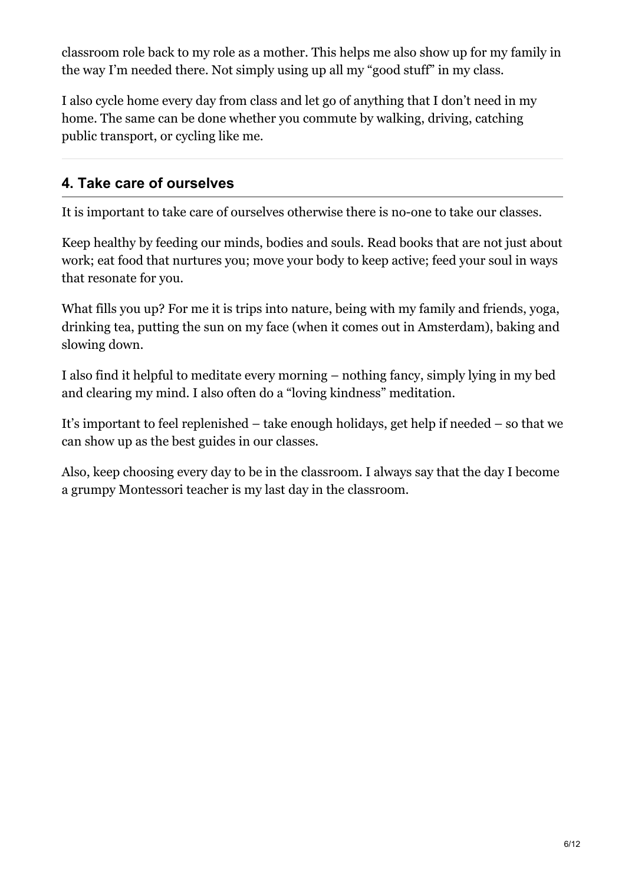classroom role back to my role as a mother. This helps me also show up for my family in the way I'm needed there. Not simply using up all my "good stuff" in my class.

I also cycle home every day from class and let go of anything that I don't need in my home. The same can be done whether you commute by walking, driving, catching public transport, or cycling like me.

### **4. Take care of ourselves**

It is important to take care of ourselves otherwise there is no-one to take our classes.

Keep healthy by feeding our minds, bodies and souls. Read books that are not just about work; eat food that nurtures you; move your body to keep active; feed your soul in ways that resonate for you.

What fills you up? For me it is trips into nature, being with my family and friends, yoga, drinking tea, putting the sun on my face (when it comes out in Amsterdam), baking and slowing down.

I also find it helpful to meditate every morning – nothing fancy, simply lying in my bed and clearing my mind. I also often do a "loving kindness" meditation.

It's important to feel replenished – take enough holidays, get help if needed – so that we can show up as the best guides in our classes.

Also, keep choosing every day to be in the classroom. I always say that the day I become a grumpy Montessori teacher is my last day in the classroom.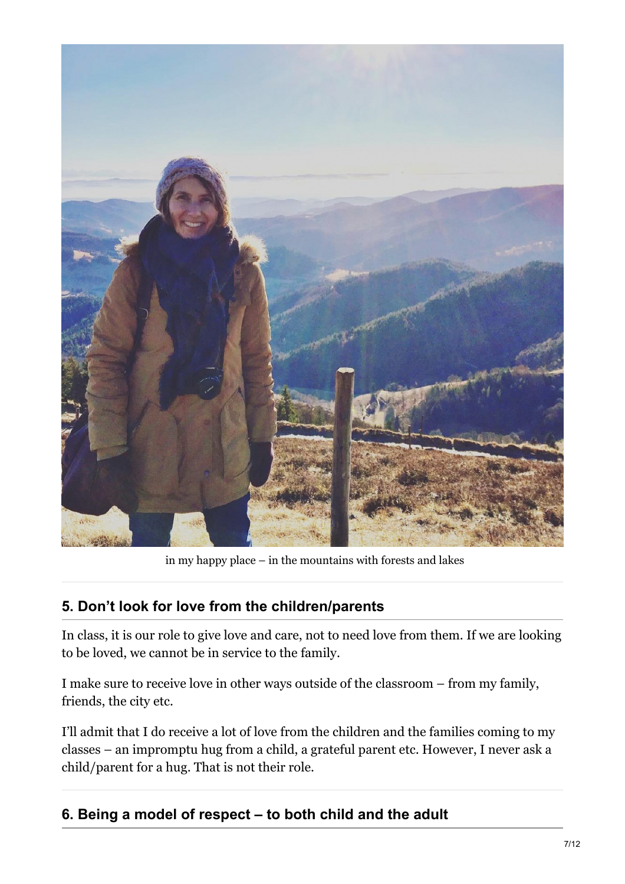

in my happy place – in the mountains with forests and lakes

### **5. Don't look for love from the children/parents**

In class, it is our role to give love and care, not to need love from them. If we are looking to be loved, we cannot be in service to the family.

I make sure to receive love in other ways outside of the classroom – from my family, friends, the city etc.

I'll admit that I do receive a lot of love from the children and the families coming to my classes – an impromptu hug from a child, a grateful parent etc. However, I never ask a child/parent for a hug. That is not their role.

## **6. Being a model of respect – to both child and the adult**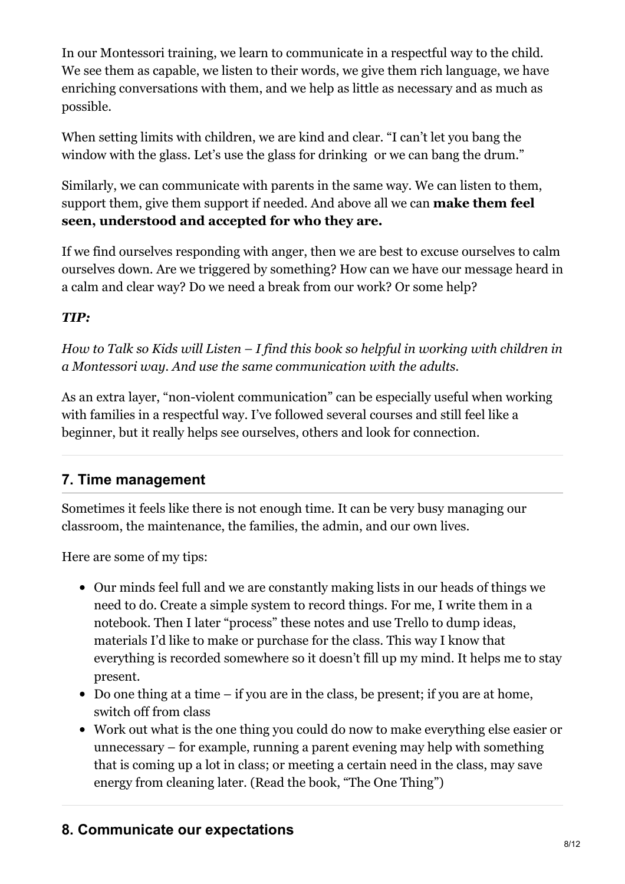In our Montessori training, we learn to communicate in a respectful way to the child. We see them as capable, we listen to their words, we give them rich language, we have enriching conversations with them, and we help as little as necessary and as much as possible.

When setting limits with children, we are kind and clear. "I can't let you bang the window with the glass. Let's use the glass for drinking or we can bang the drum."

Similarly, we can communicate with parents in the same way. We can listen to them, support them, give them support if needed. And above all we can **make them feel seen, understood and accepted for who they are.**

If we find ourselves responding with anger, then we are best to excuse ourselves to calm ourselves down. Are we triggered by something? How can we have our message heard in a calm and clear way? Do we need a break from our work? Or some help?

### *TIP:*

*How to Talk so Kids will Listen – I find this book so helpful in working with children in a Montessori way. And use the same communication with the adults.*

As an extra layer, "non-violent communication" can be especially useful when working with families in a respectful way. I've followed several courses and still feel like a beginner, but it really helps see ourselves, others and look for connection.

### **7. Time management**

Sometimes it feels like there is not enough time. It can be very busy managing our classroom, the maintenance, the families, the admin, and our own lives.

Here are some of my tips:

- Our minds feel full and we are constantly making lists in our heads of things we need to do. Create a simple system to record things. For me, I write them in a notebook. Then I later "process" these notes and use Trello to dump ideas, materials I'd like to make or purchase for the class. This way I know that everything is recorded somewhere so it doesn't fill up my mind. It helps me to stay present.
- Do one thing at a time if you are in the class, be present; if you are at home, switch off from class
- Work out what is the one thing you could do now to make everything else easier or unnecessary – for example, running a parent evening may help with something that is coming up a lot in class; or meeting a certain need in the class, may save energy from cleaning later. (Read the book, "The One Thing")

### **8. Communicate our expectations**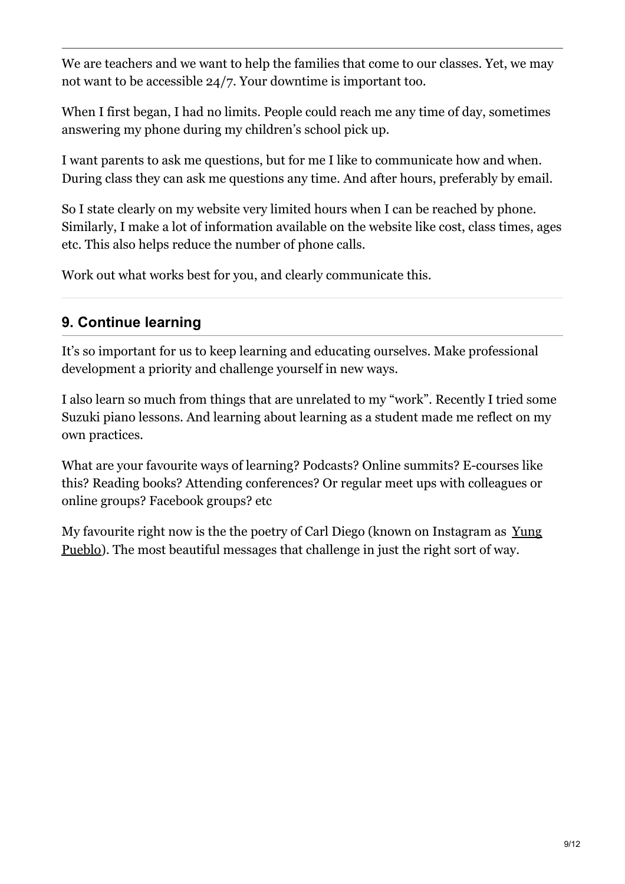We are teachers and we want to help the families that come to our classes. Yet, we may not want to be accessible 24/7. Your downtime is important too.

When I first began, I had no limits. People could reach me any time of day, sometimes answering my phone during my children's school pick up.

I want parents to ask me questions, but for me I like to communicate how and when. During class they can ask me questions any time. And after hours, preferably by email.

So I state clearly on my website very limited hours when I can be reached by phone. Similarly, I make a lot of information available on the website like cost, class times, ages etc. This also helps reduce the number of phone calls.

Work out what works best for you, and clearly communicate this.

## **9. Continue learning**

It's so important for us to keep learning and educating ourselves. Make professional development a priority and challenge yourself in new ways.

I also learn so much from things that are unrelated to my "work". Recently I tried some Suzuki piano lessons. And learning about learning as a student made me reflect on my own practices.

What are your favourite ways of learning? Podcasts? Online summits? E-courses like this? Reading books? Attending conferences? Or regular meet ups with colleagues or online groups? Facebook groups? etc

My favourite right now is the the poetry of Carl Diego (known on [Instagram](https://www.instagram.com/yung_pueblo/) as Yung Pueblo). The most beautiful messages that challenge in just the right sort of way.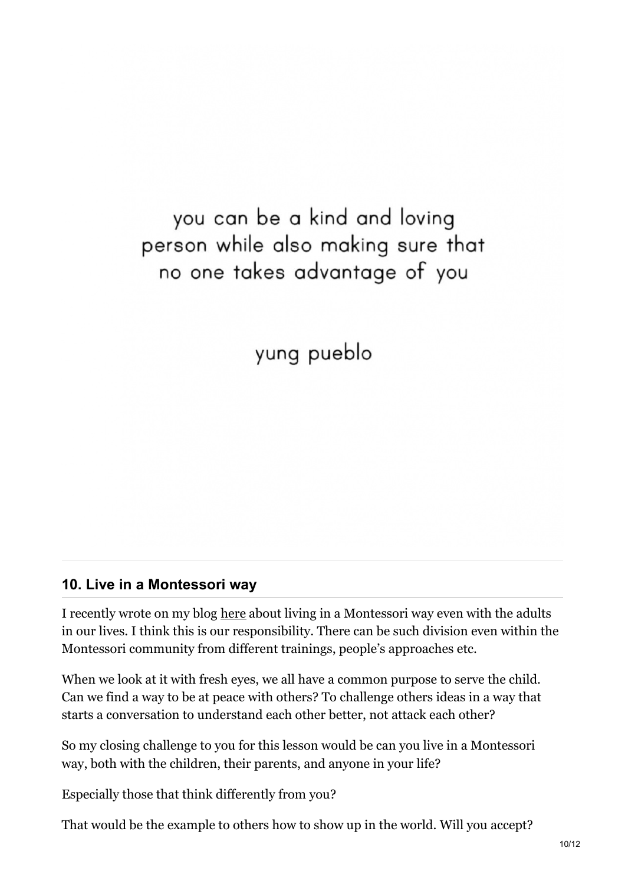you can be a kind and loving person while also making sure that no one takes advantage of you

yung pueblo

### **10. Live in a Montessori way**

I recently wrote on my blog [here](https://www.themontessorinotebook.com/ways-you-can-use-montessori-not-just-with-your-children/) about living in a Montessori way even with the adults in our lives. I think this is our responsibility. There can be such division even within the Montessori community from different trainings, people's approaches etc.

When we look at it with fresh eyes, we all have a common purpose to serve the child. Can we find a way to be at peace with others? To challenge others ideas in a way that starts a conversation to understand each other better, not attack each other?

So my closing challenge to you for this lesson would be can you live in a Montessori way, both with the children, their parents, and anyone in your life?

Especially those that think differently from you?

That would be the example to others how to show up in the world. Will you accept?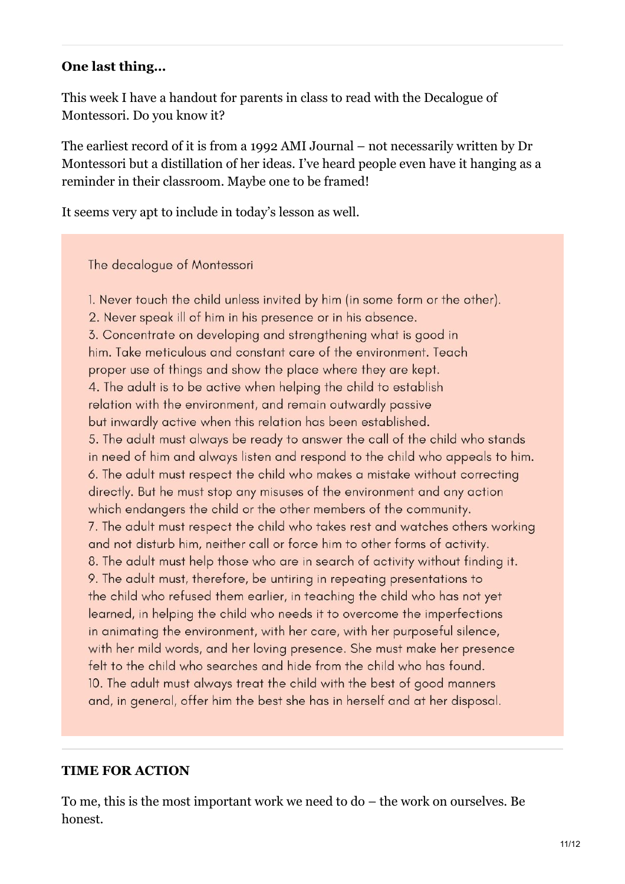### **One last thing…**

This week I have a handout for parents in class to read with the Decalogue of Montessori. Do you know it?

The earliest record of it is from a 1992 AMI Journal – not necessarily written by Dr Montessori but a distillation of her ideas. I've heard people even have it hanging as a reminder in their classroom. Maybe one to be framed!

It seems very apt to include in today's lesson as well.

The decalogue of Montessori

1. Never touch the child unless invited by him (in some form or the other). 2. Never speak ill of him in his presence or in his absence. 3. Concentrate on developing and strengthening what is good in him. Take meticulous and constant care of the environment. Teach proper use of things and show the place where they are kept. 4. The adult is to be active when helping the child to establish relation with the environment, and remain outwardly passive but inwardly active when this relation has been established. 5. The adult must always be ready to answer the call of the child who stands in need of him and always listen and respond to the child who appeals to him. 6. The adult must respect the child who makes a mistake without correcting directly. But he must stop any misuses of the environment and any action which endangers the child or the other members of the community. 7. The adult must respect the child who takes rest and watches others working and not disturb him, neither call or force him to other forms of activity. 8. The adult must help those who are in search of activity without finding it. 9. The adult must, therefore, be untiring in repeating presentations to the child who refused them earlier, in teaching the child who has not yet learned, in helping the child who needs it to overcome the imperfections in animating the environment, with her care, with her purposeful silence, with her mild words, and her loving presence. She must make her presence felt to the child who searches and hide from the child who has found. 10. The adult must always treat the child with the best of good manners and, in general, offer him the best she has in herself and at her disposal.

### **TIME FOR ACTION**

To me, this is the most important work we need to do – the work on ourselves. Be honest.